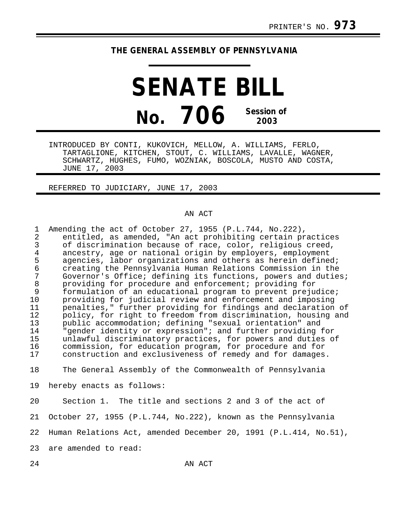## **THE GENERAL ASSEMBLY OF PENNSYLVANIA**

**SENATE BILL No. 706 Session of 2003**

INTRODUCED BY CONTI, KUKOVICH, MELLOW, A. WILLIAMS, FERLO, TARTAGLIONE, KITCHEN, STOUT, C. WILLIAMS, LAVALLE, WAGNER, SCHWARTZ, HUGHES, FUMO, WOZNIAK, BOSCOLA, MUSTO AND COSTA, JUNE 17, 2003

REFERRED TO JUDICIARY, JUNE 17, 2003

## AN ACT

| 1<br>$\overline{2}$<br>$\overline{3}$<br>$\overline{4}$<br>5<br>$\epsilon$<br>7<br>$\,8\,$<br>9<br>10<br>11<br>12<br>13<br>14<br>15<br>16<br>17 | Amending the act of October 27, 1955 (P.L.744, No.222),<br>entitled, as amended, "An act prohibiting certain practices<br>of discrimination because of race, color, religious creed,<br>ancestry, age or national origin by employers, employment<br>agencies, labor organizations and others as herein defined;<br>creating the Pennsylvania Human Relations Commission in the<br>Governor's Office; defining its functions, powers and duties;<br>providing for procedure and enforcement; providing for<br>formulation of an educational program to prevent prejudice;<br>providing for judicial review and enforcement and imposing<br>penalties," further providing for findings and declaration of<br>policy, for right to freedom from discrimination, housing and<br>public accommodation; defining "sexual orientation" and<br>"gender identity or expression"; and further providing for<br>unlawful discriminatory practices, for powers and duties of<br>commission, for education program, for procedure and for<br>construction and exclusiveness of remedy and for damages. |
|-------------------------------------------------------------------------------------------------------------------------------------------------|--------------------------------------------------------------------------------------------------------------------------------------------------------------------------------------------------------------------------------------------------------------------------------------------------------------------------------------------------------------------------------------------------------------------------------------------------------------------------------------------------------------------------------------------------------------------------------------------------------------------------------------------------------------------------------------------------------------------------------------------------------------------------------------------------------------------------------------------------------------------------------------------------------------------------------------------------------------------------------------------------------------------------------------------------------------------------------------------|
| 18                                                                                                                                              | The General Assembly of the Commonwealth of Pennsylvania                                                                                                                                                                                                                                                                                                                                                                                                                                                                                                                                                                                                                                                                                                                                                                                                                                                                                                                                                                                                                                   |
| 19                                                                                                                                              | hereby enacts as follows:                                                                                                                                                                                                                                                                                                                                                                                                                                                                                                                                                                                                                                                                                                                                                                                                                                                                                                                                                                                                                                                                  |
| 20                                                                                                                                              | Section 1. The title and sections 2 and 3 of the act of                                                                                                                                                                                                                                                                                                                                                                                                                                                                                                                                                                                                                                                                                                                                                                                                                                                                                                                                                                                                                                    |
| 21                                                                                                                                              | October 27, 1955 (P.L.744, No.222), known as the Pennsylvania                                                                                                                                                                                                                                                                                                                                                                                                                                                                                                                                                                                                                                                                                                                                                                                                                                                                                                                                                                                                                              |
| 22                                                                                                                                              | Human Relations Act, amended December 20, 1991 (P.L.414, No.51),                                                                                                                                                                                                                                                                                                                                                                                                                                                                                                                                                                                                                                                                                                                                                                                                                                                                                                                                                                                                                           |
| 23                                                                                                                                              | are amended to read:                                                                                                                                                                                                                                                                                                                                                                                                                                                                                                                                                                                                                                                                                                                                                                                                                                                                                                                                                                                                                                                                       |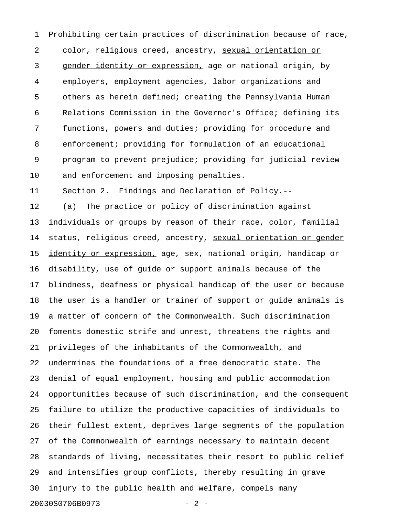1 Prohibiting certain practices of discrimination because of race, 2 color, religious creed, ancestry, sexual orientation or 3 gender identity or expression, age or national origin, by 4 employers, employment agencies, labor organizations and 5 others as herein defined; creating the Pennsylvania Human 6 Relations Commission in the Governor's Office; defining its 7 functions, powers and duties; providing for procedure and 8 enforcement; providing for formulation of an educational 9 program to prevent prejudice; providing for judicial review 10 and enforcement and imposing penalties.

11 Section 2. Findings and Declaration of Policy.--

12 (a) The practice or policy of discrimination against 13 individuals or groups by reason of their race, color, familial 14 status, religious creed, ancestry, sexual orientation or gender 15 identity or expression, age, sex, national origin, handicap or 16 disability, use of guide or support animals because of the 17 blindness, deafness or physical handicap of the user or because 18 the user is a handler or trainer of support or guide animals is 19 a matter of concern of the Commonwealth. Such discrimination 20 foments domestic strife and unrest, threatens the rights and 21 privileges of the inhabitants of the Commonwealth, and 22 undermines the foundations of a free democratic state. The 23 denial of equal employment, housing and public accommodation 24 opportunities because of such discrimination, and the consequent 25 failure to utilize the productive capacities of individuals to 26 their fullest extent, deprives large segments of the population 27 of the Commonwealth of earnings necessary to maintain decent 28 standards of living, necessitates their resort to public relief 29 and intensifies group conflicts, thereby resulting in grave 30 injury to the public health and welfare, compels many 20030S0706B0973 - 2 -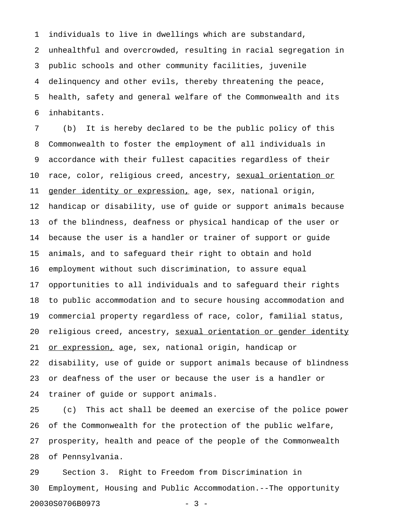1 individuals to live in dwellings which are substandard,

2 unhealthful and overcrowded, resulting in racial segregation in 3 public schools and other community facilities, juvenile 4 delinquency and other evils, thereby threatening the peace, 5 health, safety and general welfare of the Commonwealth and its 6 inhabitants.

7 (b) It is hereby declared to be the public policy of this 8 Commonwealth to foster the employment of all individuals in 9 accordance with their fullest capacities regardless of their 10 race, color, religious creed, ancestry, sexual orientation or 11 gender identity or expression, age, sex, national origin, 12 handicap or disability, use of guide or support animals because 13 of the blindness, deafness or physical handicap of the user or 14 because the user is a handler or trainer of support or guide 15 animals, and to safeguard their right to obtain and hold 16 employment without such discrimination, to assure equal 17 opportunities to all individuals and to safeguard their rights 18 to public accommodation and to secure housing accommodation and 19 commercial property regardless of race, color, familial status, 20 religious creed, ancestry, sexual orientation or gender identity 21 or expression, age, sex, national origin, handicap or 22 disability, use of guide or support animals because of blindness 23 or deafness of the user or because the user is a handler or 24 trainer of guide or support animals.

25 (c) This act shall be deemed an exercise of the police power 26 of the Commonwealth for the protection of the public welfare, 27 prosperity, health and peace of the people of the Commonwealth 28 of Pennsylvania.

29 Section 3. Right to Freedom from Discrimination in 30 Employment, Housing and Public Accommodation.--The opportunity 20030S0706B0973 - 3 -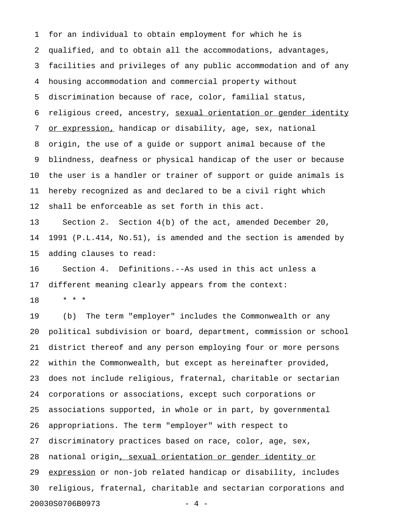1 for an individual to obtain employment for which he is 2 qualified, and to obtain all the accommodations, advantages, 3 facilities and privileges of any public accommodation and of any 4 housing accommodation and commercial property without 5 discrimination because of race, color, familial status, 6 religious creed, ancestry, sexual orientation or gender identity 7 or expression, handicap or disability, age, sex, national 8 origin, the use of a guide or support animal because of the 9 blindness, deafness or physical handicap of the user or because 10 the user is a handler or trainer of support or guide animals is 11 hereby recognized as and declared to be a civil right which 12 shall be enforceable as set forth in this act.

13 Section 2. Section 4(b) of the act, amended December 20, 14 1991 (P.L.414, No.51), is amended and the section is amended by 15 adding clauses to read:

16 Section 4. Definitions.--As used in this act unless a 17 different meaning clearly appears from the context:

18 \* \* \*

19 (b) The term "employer" includes the Commonwealth or any 20 political subdivision or board, department, commission or school 21 district thereof and any person employing four or more persons 22 within the Commonwealth, but except as hereinafter provided, 23 does not include religious, fraternal, charitable or sectarian 24 corporations or associations, except such corporations or 25 associations supported, in whole or in part, by governmental 26 appropriations. The term "employer" with respect to 27 discriminatory practices based on race, color, age, sex, 28 national origin, sexual orientation or gender identity or 29 expression or non-job related handicap or disability, includes 30 religious, fraternal, charitable and sectarian corporations and 20030S0706B0973 - 4 -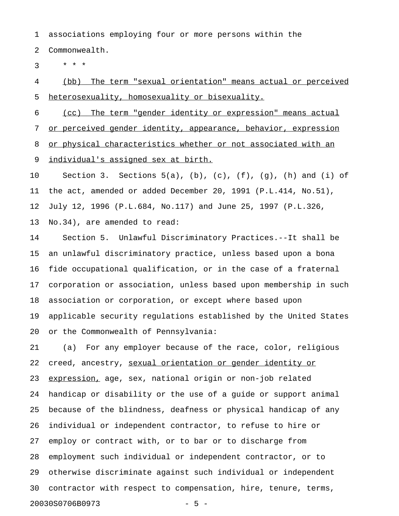1 associations employing four or more persons within the

2 Commonwealth.

 $3 * * * *$ 

4 (bb) The term "sexual orientation" means actual or perceived 5 heterosexuality, homosexuality or bisexuality.

6 (cc) The term "gender identity or expression" means actual 7 or perceived gender identity, appearance, behavior, expression 8 or physical characteristics whether or not associated with an 9 individual's assigned sex at birth.

10 Section 3. Sections 5(a), (b), (c), (f), (g), (h) and (i) of 11 the act, amended or added December 20, 1991 (P.L.414, No.51), 12 July 12, 1996 (P.L.684, No.117) and June 25, 1997 (P.L.326, 13 No.34), are amended to read:

14 Section 5. Unlawful Discriminatory Practices.--It shall be 15 an unlawful discriminatory practice, unless based upon a bona 16 fide occupational qualification, or in the case of a fraternal 17 corporation or association, unless based upon membership in such 18 association or corporation, or except where based upon 19 applicable security regulations established by the United States 20 or the Commonwealth of Pennsylvania:

21 (a) For any employer because of the race, color, religious 22 creed, ancestry, sexual orientation or gender identity or 23 expression, age, sex, national origin or non-job related 24 handicap or disability or the use of a guide or support animal 25 because of the blindness, deafness or physical handicap of any 26 individual or independent contractor, to refuse to hire or 27 employ or contract with, or to bar or to discharge from 28 employment such individual or independent contractor, or to 29 otherwise discriminate against such individual or independent 30 contractor with respect to compensation, hire, tenure, terms, 20030S0706B0973 - 5 -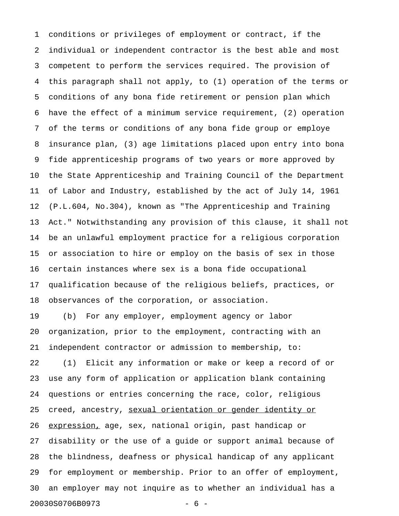1 conditions or privileges of employment or contract, if the 2 individual or independent contractor is the best able and most 3 competent to perform the services required. The provision of 4 this paragraph shall not apply, to (1) operation of the terms or 5 conditions of any bona fide retirement or pension plan which 6 have the effect of a minimum service requirement, (2) operation 7 of the terms or conditions of any bona fide group or employe 8 insurance plan, (3) age limitations placed upon entry into bona 9 fide apprenticeship programs of two years or more approved by 10 the State Apprenticeship and Training Council of the Department 11 of Labor and Industry, established by the act of July 14, 1961 12 (P.L.604, No.304), known as "The Apprenticeship and Training 13 Act." Notwithstanding any provision of this clause, it shall not 14 be an unlawful employment practice for a religious corporation 15 or association to hire or employ on the basis of sex in those 16 certain instances where sex is a bona fide occupational 17 qualification because of the religious beliefs, practices, or 18 observances of the corporation, or association. 19 (b) For any employer, employment agency or labor 20 organization, prior to the employment, contracting with an 21 independent contractor or admission to membership, to: 22 (1) Elicit any information or make or keep a record of or 23 use any form of application or application blank containing 24 questions or entries concerning the race, color, religious 25 creed, ancestry, sexual orientation or gender identity or 26 expression, age, sex, national origin, past handicap or 27 disability or the use of a guide or support animal because of 28 the blindness, deafness or physical handicap of any applicant 29 for employment or membership. Prior to an offer of employment, 30 an employer may not inquire as to whether an individual has a 20030S0706B0973 - 6 -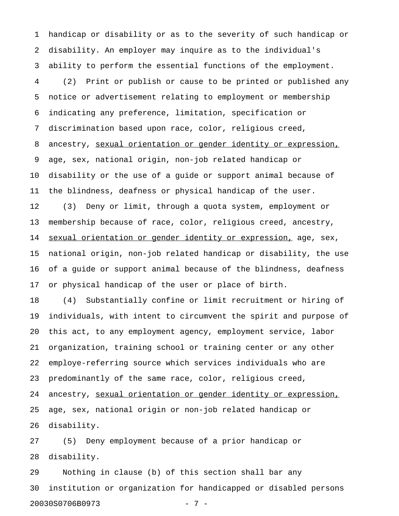1 handicap or disability or as to the severity of such handicap or 2 disability. An employer may inquire as to the individual's 3 ability to perform the essential functions of the employment. 4 (2) Print or publish or cause to be printed or published any 5 notice or advertisement relating to employment or membership 6 indicating any preference, limitation, specification or 7 discrimination based upon race, color, religious creed, 8 ancestry, sexual orientation or gender identity or expression, 9 age, sex, national origin, non-job related handicap or 10 disability or the use of a guide or support animal because of 11 the blindness, deafness or physical handicap of the user. 12 (3) Deny or limit, through a quota system, employment or 13 membership because of race, color, religious creed, ancestry, 14 sexual orientation or gender identity or expression, age, sex, 15 national origin, non-job related handicap or disability, the use 16 of a guide or support animal because of the blindness, deafness 17 or physical handicap of the user or place of birth. 18 (4) Substantially confine or limit recruitment or hiring of

19 individuals, with intent to circumvent the spirit and purpose of 20 this act, to any employment agency, employment service, labor 21 organization, training school or training center or any other 22 employe-referring source which services individuals who are 23 predominantly of the same race, color, religious creed, 24 ancestry, sexual orientation or gender identity or expression, 25 age, sex, national origin or non-job related handicap or 26 disability.

27 (5) Deny employment because of a prior handicap or 28 disability.

29 Nothing in clause (b) of this section shall bar any 30 institution or organization for handicapped or disabled persons 20030S0706B0973 - 7 -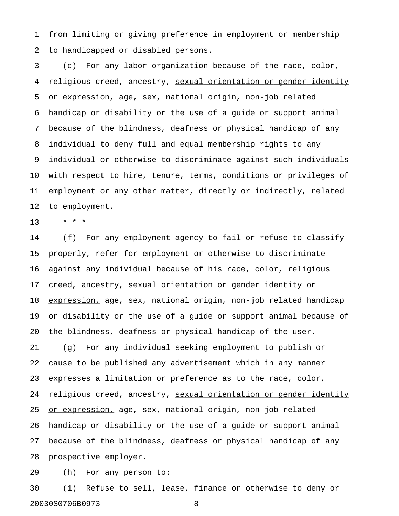1 from limiting or giving preference in employment or membership 2 to handicapped or disabled persons.

3 (c) For any labor organization because of the race, color, 4 religious creed, ancestry, sexual orientation or gender identity 5 or expression, age, sex, national origin, non-job related 6 handicap or disability or the use of a guide or support animal 7 because of the blindness, deafness or physical handicap of any 8 individual to deny full and equal membership rights to any 9 individual or otherwise to discriminate against such individuals 10 with respect to hire, tenure, terms, conditions or privileges of 11 employment or any other matter, directly or indirectly, related 12 to employment.

13 \* \* \*

14 (f) For any employment agency to fail or refuse to classify 15 properly, refer for employment or otherwise to discriminate 16 against any individual because of his race, color, religious 17 creed, ancestry, sexual orientation or gender identity or 18 expression, age, sex, national origin, non-job related handicap 19 or disability or the use of a guide or support animal because of 20 the blindness, deafness or physical handicap of the user. 21 (g) For any individual seeking employment to publish or 22 cause to be published any advertisement which in any manner 23 expresses a limitation or preference as to the race, color, 24 religious creed, ancestry, sexual orientation or gender identity 25 <u>or expression,</u> age, sex, national origin, non-job related 26 handicap or disability or the use of a guide or support animal 27 because of the blindness, deafness or physical handicap of any 28 prospective employer.

29 (h) For any person to:

30 (1) Refuse to sell, lease, finance or otherwise to deny or 20030S0706B0973 - 8 -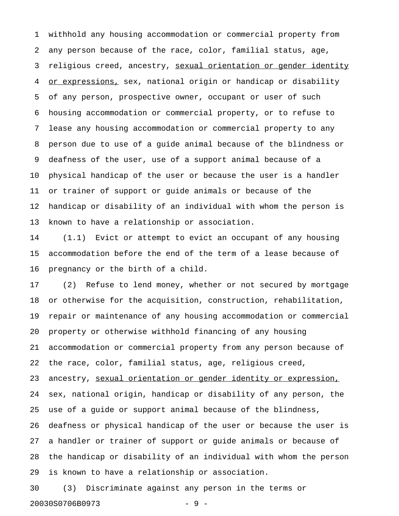1 withhold any housing accommodation or commercial property from 2 any person because of the race, color, familial status, age, 3 religious creed, ancestry, sexual orientation or gender identity 4 or expressions, sex, national origin or handicap or disability 5 of any person, prospective owner, occupant or user of such 6 housing accommodation or commercial property, or to refuse to 7 lease any housing accommodation or commercial property to any 8 person due to use of a guide animal because of the blindness or 9 deafness of the user, use of a support animal because of a 10 physical handicap of the user or because the user is a handler 11 or trainer of support or guide animals or because of the 12 handicap or disability of an individual with whom the person is 13 known to have a relationship or association.

14 (1.1) Evict or attempt to evict an occupant of any housing 15 accommodation before the end of the term of a lease because of 16 pregnancy or the birth of a child.

17 (2) Refuse to lend money, whether or not secured by mortgage 18 or otherwise for the acquisition, construction, rehabilitation, 19 repair or maintenance of any housing accommodation or commercial 20 property or otherwise withhold financing of any housing 21 accommodation or commercial property from any person because of 22 the race, color, familial status, age, religious creed, 23 ancestry, sexual orientation or gender identity or expression, 24 sex, national origin, handicap or disability of any person, the 25 use of a guide or support animal because of the blindness, 26 deafness or physical handicap of the user or because the user is 27 a handler or trainer of support or guide animals or because of 28 the handicap or disability of an individual with whom the person 29 is known to have a relationship or association.

30 (3) Discriminate against any person in the terms or 20030S0706B0973 - 9 -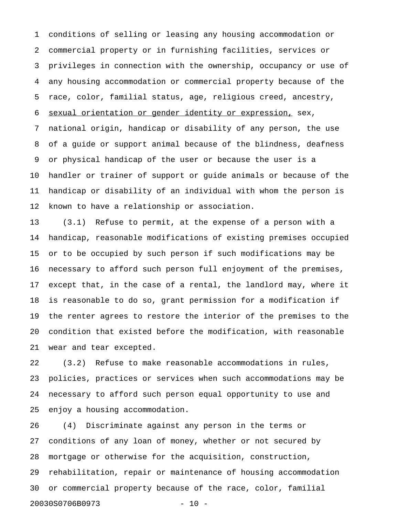1 conditions of selling or leasing any housing accommodation or 2 commercial property or in furnishing facilities, services or 3 privileges in connection with the ownership, occupancy or use of 4 any housing accommodation or commercial property because of the 5 race, color, familial status, age, religious creed, ancestry, 6 sexual orientation or gender identity or expression, sex, 7 national origin, handicap or disability of any person, the use 8 of a guide or support animal because of the blindness, deafness 9 or physical handicap of the user or because the user is a 10 handler or trainer of support or guide animals or because of the 11 handicap or disability of an individual with whom the person is 12 known to have a relationship or association.

13 (3.1) Refuse to permit, at the expense of a person with a 14 handicap, reasonable modifications of existing premises occupied 15 or to be occupied by such person if such modifications may be 16 necessary to afford such person full enjoyment of the premises, 17 except that, in the case of a rental, the landlord may, where it 18 is reasonable to do so, grant permission for a modification if 19 the renter agrees to restore the interior of the premises to the 20 condition that existed before the modification, with reasonable 21 wear and tear excepted.

22 (3.2) Refuse to make reasonable accommodations in rules, 23 policies, practices or services when such accommodations may be 24 necessary to afford such person equal opportunity to use and 25 enjoy a housing accommodation.

26 (4) Discriminate against any person in the terms or 27 conditions of any loan of money, whether or not secured by 28 mortgage or otherwise for the acquisition, construction, 29 rehabilitation, repair or maintenance of housing accommodation 30 or commercial property because of the race, color, familial 20030S0706B0973 - 10 -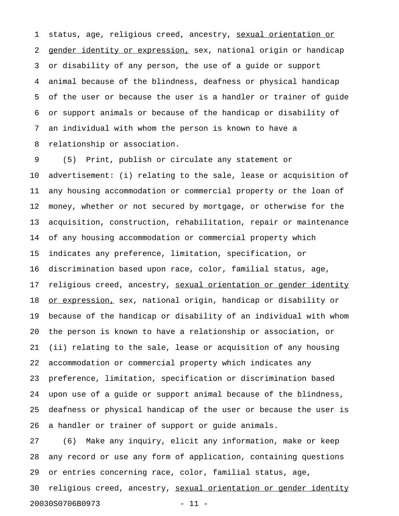1 status, age, religious creed, ancestry, sexual orientation or 2 gender identity or expression, sex, national origin or handicap 3 or disability of any person, the use of a guide or support 4 animal because of the blindness, deafness or physical handicap 5 of the user or because the user is a handler or trainer of guide 6 or support animals or because of the handicap or disability of 7 an individual with whom the person is known to have a 8 relationship or association.

9 (5) Print, publish or circulate any statement or 10 advertisement: (i) relating to the sale, lease or acquisition of 11 any housing accommodation or commercial property or the loan of 12 money, whether or not secured by mortgage, or otherwise for the 13 acquisition, construction, rehabilitation, repair or maintenance 14 of any housing accommodation or commercial property which 15 indicates any preference, limitation, specification, or 16 discrimination based upon race, color, familial status, age, 17 religious creed, ancestry, sexual orientation or gender identity 18 or expression, sex, national origin, handicap or disability or 19 because of the handicap or disability of an individual with whom 20 the person is known to have a relationship or association, or 21 (ii) relating to the sale, lease or acquisition of any housing 22 accommodation or commercial property which indicates any 23 preference, limitation, specification or discrimination based 24 upon use of a guide or support animal because of the blindness, 25 deafness or physical handicap of the user or because the user is 26 a handler or trainer of support or guide animals.

27 (6) Make any inquiry, elicit any information, make or keep 28 any record or use any form of application, containing questions 29 or entries concerning race, color, familial status, age, 30 religious creed, ancestry, sexual orientation or gender identity 20030S0706B0973 - 11 -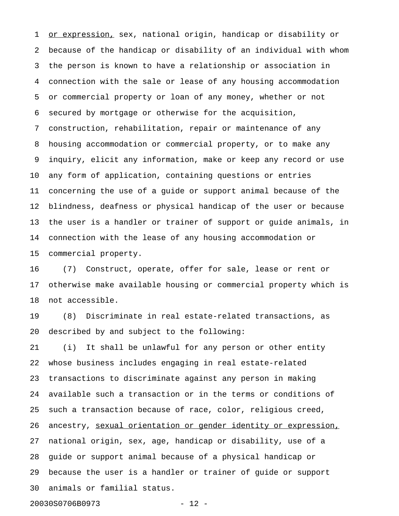1 or expression, sex, national origin, handicap or disability or 2 because of the handicap or disability of an individual with whom 3 the person is known to have a relationship or association in 4 connection with the sale or lease of any housing accommodation 5 or commercial property or loan of any money, whether or not 6 secured by mortgage or otherwise for the acquisition, 7 construction, rehabilitation, repair or maintenance of any 8 housing accommodation or commercial property, or to make any 9 inquiry, elicit any information, make or keep any record or use 10 any form of application, containing questions or entries 11 concerning the use of a guide or support animal because of the 12 blindness, deafness or physical handicap of the user or because 13 the user is a handler or trainer of support or guide animals, in 14 connection with the lease of any housing accommodation or 15 commercial property.

16 (7) Construct, operate, offer for sale, lease or rent or 17 otherwise make available housing or commercial property which is 18 not accessible.

19 (8) Discriminate in real estate-related transactions, as 20 described by and subject to the following:

21 (i) It shall be unlawful for any person or other entity 22 whose business includes engaging in real estate-related 23 transactions to discriminate against any person in making 24 available such a transaction or in the terms or conditions of 25 such a transaction because of race, color, religious creed, 26 ancestry, sexual orientation or gender identity or expression, 27 national origin, sex, age, handicap or disability, use of a 28 guide or support animal because of a physical handicap or 29 because the user is a handler or trainer of guide or support 30 animals or familial status.

20030S0706B0973 - 12 -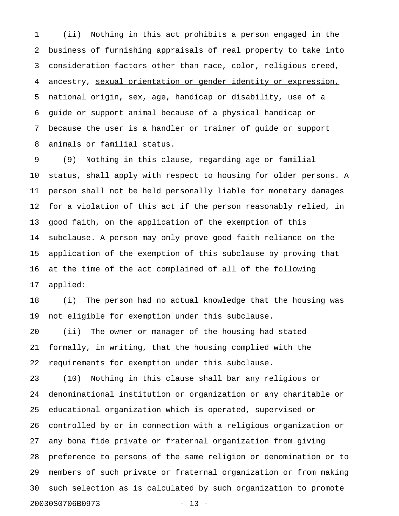1 (ii) Nothing in this act prohibits a person engaged in the 2 business of furnishing appraisals of real property to take into 3 consideration factors other than race, color, religious creed, 4 ancestry, sexual orientation or gender identity or expression, 5 national origin, sex, age, handicap or disability, use of a 6 guide or support animal because of a physical handicap or 7 because the user is a handler or trainer of guide or support 8 animals or familial status.

9 (9) Nothing in this clause, regarding age or familial 10 status, shall apply with respect to housing for older persons. A 11 person shall not be held personally liable for monetary damages 12 for a violation of this act if the person reasonably relied, in 13 good faith, on the application of the exemption of this 14 subclause. A person may only prove good faith reliance on the 15 application of the exemption of this subclause by proving that 16 at the time of the act complained of all of the following 17 applied:

18 (i) The person had no actual knowledge that the housing was 19 not eligible for exemption under this subclause.

20 (ii) The owner or manager of the housing had stated 21 formally, in writing, that the housing complied with the 22 requirements for exemption under this subclause.

23 (10) Nothing in this clause shall bar any religious or 24 denominational institution or organization or any charitable or 25 educational organization which is operated, supervised or 26 controlled by or in connection with a religious organization or 27 any bona fide private or fraternal organization from giving 28 preference to persons of the same religion or denomination or to 29 members of such private or fraternal organization or from making 30 such selection as is calculated by such organization to promote 20030S0706B0973 - 13 -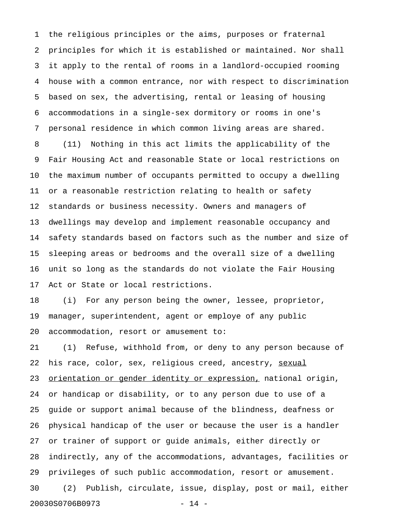1 the religious principles or the aims, purposes or fraternal 2 principles for which it is established or maintained. Nor shall 3 it apply to the rental of rooms in a landlord-occupied rooming 4 house with a common entrance, nor with respect to discrimination 5 based on sex, the advertising, rental or leasing of housing 6 accommodations in a single-sex dormitory or rooms in one's 7 personal residence in which common living areas are shared. 8 (11) Nothing in this act limits the applicability of the 9 Fair Housing Act and reasonable State or local restrictions on 10 the maximum number of occupants permitted to occupy a dwelling 11 or a reasonable restriction relating to health or safety 12 standards or business necessity. Owners and managers of 13 dwellings may develop and implement reasonable occupancy and 14 safety standards based on factors such as the number and size of 15 sleeping areas or bedrooms and the overall size of a dwelling 16 unit so long as the standards do not violate the Fair Housing 17 Act or State or local restrictions.

18 (i) For any person being the owner, lessee, proprietor, 19 manager, superintendent, agent or employe of any public 20 accommodation, resort or amusement to:

21 (1) Refuse, withhold from, or deny to any person because of 22 his race, color, sex, religious creed, ancestry, sexual 23 orientation or gender identity or expression, national origin, 24 or handicap or disability, or to any person due to use of a 25 guide or support animal because of the blindness, deafness or 26 physical handicap of the user or because the user is a handler 27 or trainer of support or guide animals, either directly or 28 indirectly, any of the accommodations, advantages, facilities or 29 privileges of such public accommodation, resort or amusement. 30 (2) Publish, circulate, issue, display, post or mail, either 20030S0706B0973 - 14 -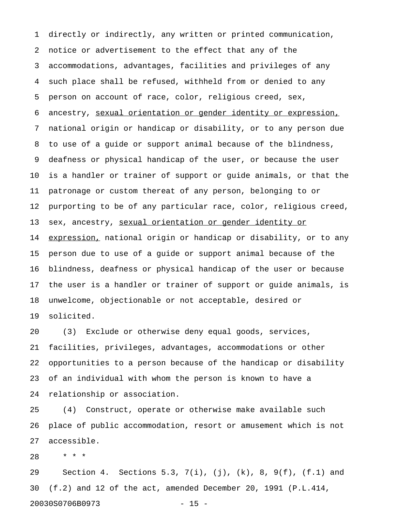1 directly or indirectly, any written or printed communication, 2 notice or advertisement to the effect that any of the 3 accommodations, advantages, facilities and privileges of any 4 such place shall be refused, withheld from or denied to any 5 person on account of race, color, religious creed, sex, 6 ancestry, sexual orientation or gender identity or expression, 7 national origin or handicap or disability, or to any person due 8 to use of a guide or support animal because of the blindness, 9 deafness or physical handicap of the user, or because the user 10 is a handler or trainer of support or guide animals, or that the 11 patronage or custom thereat of any person, belonging to or 12 purporting to be of any particular race, color, religious creed, 13 sex, ancestry, sexual orientation or gender identity or 14 expression, national origin or handicap or disability, or to any 15 person due to use of a guide or support animal because of the 16 blindness, deafness or physical handicap of the user or because 17 the user is a handler or trainer of support or guide animals, is 18 unwelcome, objectionable or not acceptable, desired or 19 solicited.

20 (3) Exclude or otherwise deny equal goods, services, 21 facilities, privileges, advantages, accommodations or other 22 opportunities to a person because of the handicap or disability 23 of an individual with whom the person is known to have a 24 relationship or association.

25 (4) Construct, operate or otherwise make available such 26 place of public accommodation, resort or amusement which is not 27 accessible.

28 \* \* \*

29 Section 4. Sections 5.3, 7(i), (j), (k), 8, 9(f), (f.1) and 30 (f.2) and 12 of the act, amended December 20, 1991 (P.L.414, 20030S0706B0973 - 15 -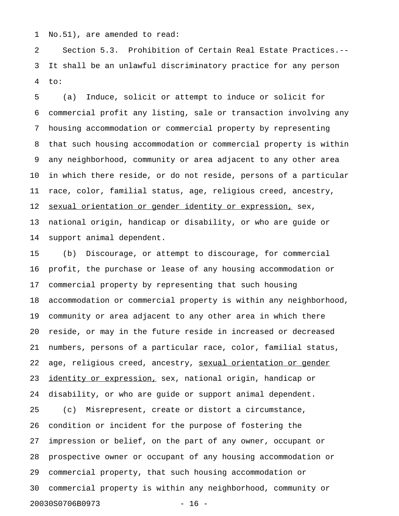1 No.51), are amended to read:

2 Section 5.3. Prohibition of Certain Real Estate Practices.-- 3 It shall be an unlawful discriminatory practice for any person 4 to:

5 (a) Induce, solicit or attempt to induce or solicit for 6 commercial profit any listing, sale or transaction involving any 7 housing accommodation or commercial property by representing 8 that such housing accommodation or commercial property is within 9 any neighborhood, community or area adjacent to any other area 10 in which there reside, or do not reside, persons of a particular 11 race, color, familial status, age, religious creed, ancestry, 12 sexual orientation or gender identity or expression, sex, 13 national origin, handicap or disability, or who are guide or 14 support animal dependent.

15 (b) Discourage, or attempt to discourage, for commercial 16 profit, the purchase or lease of any housing accommodation or 17 commercial property by representing that such housing 18 accommodation or commercial property is within any neighborhood, 19 community or area adjacent to any other area in which there 20 reside, or may in the future reside in increased or decreased 21 numbers, persons of a particular race, color, familial status, 22 age, religious creed, ancestry, sexual orientation or gender 23 identity or expression, sex, national origin, handicap or 24 disability, or who are guide or support animal dependent. 25 (c) Misrepresent, create or distort a circumstance,

26 condition or incident for the purpose of fostering the 27 impression or belief, on the part of any owner, occupant or 28 prospective owner or occupant of any housing accommodation or 29 commercial property, that such housing accommodation or 30 commercial property is within any neighborhood, community or 20030S0706B0973 - 16 -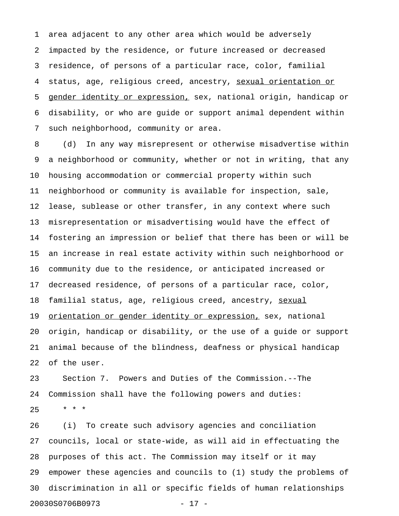1 area adjacent to any other area which would be adversely 2 impacted by the residence, or future increased or decreased 3 residence, of persons of a particular race, color, familial 4 status, age, religious creed, ancestry, sexual orientation or 5 gender identity or expression, sex, national origin, handicap or 6 disability, or who are guide or support animal dependent within 7 such neighborhood, community or area.

8 (d) In any way misrepresent or otherwise misadvertise within 9 a neighborhood or community, whether or not in writing, that any 10 housing accommodation or commercial property within such 11 neighborhood or community is available for inspection, sale, 12 lease, sublease or other transfer, in any context where such 13 misrepresentation or misadvertising would have the effect of 14 fostering an impression or belief that there has been or will be 15 an increase in real estate activity within such neighborhood or 16 community due to the residence, or anticipated increased or 17 decreased residence, of persons of a particular race, color, 18 familial status, age, religious creed, ancestry, sexual 19 orientation or gender identity or expression, sex, national 20 origin, handicap or disability, or the use of a guide or support 21 animal because of the blindness, deafness or physical handicap 22 of the user.

23 Section 7. Powers and Duties of the Commission.--The 24 Commission shall have the following powers and duties:  $25 + * * *$ 

26 (i) To create such advisory agencies and conciliation 27 councils, local or state-wide, as will aid in effectuating the 28 purposes of this act. The Commission may itself or it may 29 empower these agencies and councils to (1) study the problems of 30 discrimination in all or specific fields of human relationships 20030S0706B0973 - 17 -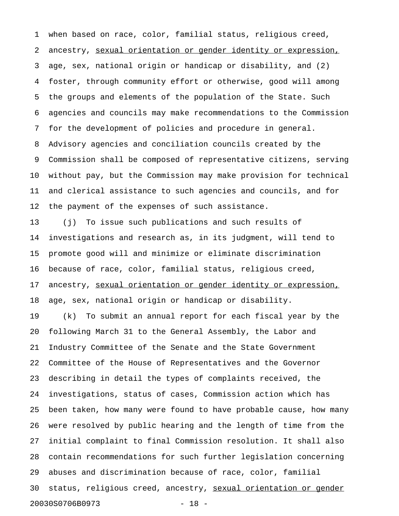1 when based on race, color, familial status, religious creed, 2 ancestry, sexual orientation or gender identity or expression, 3 age, sex, national origin or handicap or disability, and (2) 4 foster, through community effort or otherwise, good will among 5 the groups and elements of the population of the State. Such 6 agencies and councils may make recommendations to the Commission 7 for the development of policies and procedure in general. 8 Advisory agencies and conciliation councils created by the 9 Commission shall be composed of representative citizens, serving 10 without pay, but the Commission may make provision for technical 11 and clerical assistance to such agencies and councils, and for 12 the payment of the expenses of such assistance.

13 (j) To issue such publications and such results of 14 investigations and research as, in its judgment, will tend to 15 promote good will and minimize or eliminate discrimination 16 because of race, color, familial status, religious creed, 17 ancestry, sexual orientation or gender identity or expression, 18 age, sex, national origin or handicap or disability.

19 (k) To submit an annual report for each fiscal year by the 20 following March 31 to the General Assembly, the Labor and 21 Industry Committee of the Senate and the State Government 22 Committee of the House of Representatives and the Governor 23 describing in detail the types of complaints received, the 24 investigations, status of cases, Commission action which has 25 been taken, how many were found to have probable cause, how many 26 were resolved by public hearing and the length of time from the 27 initial complaint to final Commission resolution. It shall also 28 contain recommendations for such further legislation concerning 29 abuses and discrimination because of race, color, familial 30 status, religious creed, ancestry, sexual orientation or gender 20030S0706B0973 - 18 -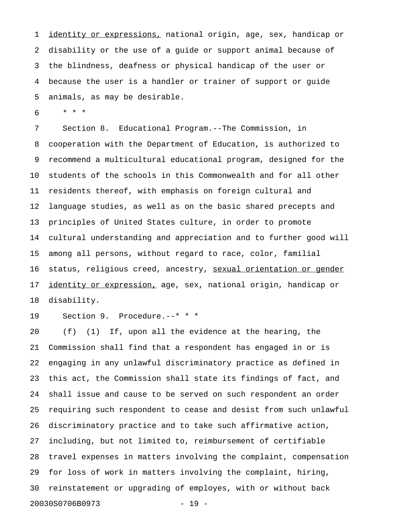1 identity or expressions, national origin, age, sex, handicap or 2 disability or the use of a guide or support animal because of 3 the blindness, deafness or physical handicap of the user or 4 because the user is a handler or trainer of support or guide 5 animals, as may be desirable.

6 \* \* \*

7 Section 8. Educational Program.--The Commission, in 8 cooperation with the Department of Education, is authorized to 9 recommend a multicultural educational program, designed for the 10 students of the schools in this Commonwealth and for all other 11 residents thereof, with emphasis on foreign cultural and 12 language studies, as well as on the basic shared precepts and 13 principles of United States culture, in order to promote 14 cultural understanding and appreciation and to further good will 15 among all persons, without regard to race, color, familial 16 status, religious creed, ancestry, sexual orientation or gender 17 identity or expression, age, sex, national origin, handicap or 18 disability.

19 Section 9. Procedure.--\* \* \*

20 (f) (1) If, upon all the evidence at the hearing, the 21 Commission shall find that a respondent has engaged in or is 22 engaging in any unlawful discriminatory practice as defined in 23 this act, the Commission shall state its findings of fact, and 24 shall issue and cause to be served on such respondent an order 25 requiring such respondent to cease and desist from such unlawful 26 discriminatory practice and to take such affirmative action, 27 including, but not limited to, reimbursement of certifiable 28 travel expenses in matters involving the complaint, compensation 29 for loss of work in matters involving the complaint, hiring, 30 reinstatement or upgrading of employes, with or without back 20030S0706B0973 - 19 -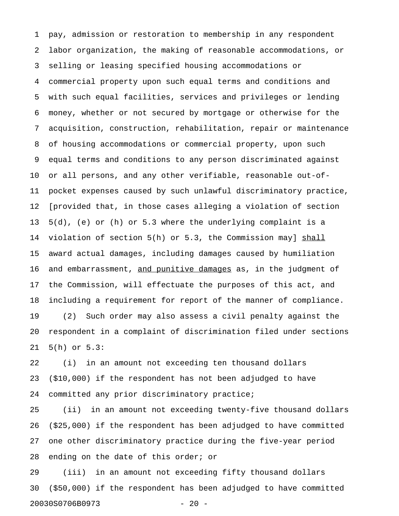1 pay, admission or restoration to membership in any respondent 2 labor organization, the making of reasonable accommodations, or 3 selling or leasing specified housing accommodations or 4 commercial property upon such equal terms and conditions and 5 with such equal facilities, services and privileges or lending 6 money, whether or not secured by mortgage or otherwise for the 7 acquisition, construction, rehabilitation, repair or maintenance 8 of housing accommodations or commercial property, upon such 9 equal terms and conditions to any person discriminated against 10 or all persons, and any other verifiable, reasonable out-of-11 pocket expenses caused by such unlawful discriminatory practice, 12 [provided that, in those cases alleging a violation of section 13 5(d), (e) or (h) or 5.3 where the underlying complaint is a 14 violation of section 5(h) or 5.3, the Commission may] shall 15 award actual damages, including damages caused by humiliation 16 and embarrassment, and punitive damages as, in the judgment of 17 the Commission, will effectuate the purposes of this act, and 18 including a requirement for report of the manner of compliance. 19 (2) Such order may also assess a civil penalty against the 20 respondent in a complaint of discrimination filed under sections 21 5(h) or 5.3:

22 (i) in an amount not exceeding ten thousand dollars 23 (\$10,000) if the respondent has not been adjudged to have 24 committed any prior discriminatory practice;

25 (ii) in an amount not exceeding twenty-five thousand dollars 26 (\$25,000) if the respondent has been adjudged to have committed 27 one other discriminatory practice during the five-year period 28 ending on the date of this order; or

29 (iii) in an amount not exceeding fifty thousand dollars 30 (\$50,000) if the respondent has been adjudged to have committed 20030S0706B0973 - 20 -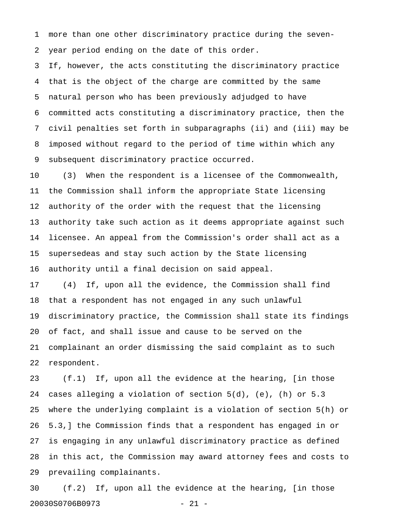1 more than one other discriminatory practice during the seven-2 year period ending on the date of this order.

3 If, however, the acts constituting the discriminatory practice 4 that is the object of the charge are committed by the same 5 natural person who has been previously adjudged to have 6 committed acts constituting a discriminatory practice, then the 7 civil penalties set forth in subparagraphs (ii) and (iii) may be 8 imposed without regard to the period of time within which any 9 subsequent discriminatory practice occurred.

10 (3) When the respondent is a licensee of the Commonwealth, 11 the Commission shall inform the appropriate State licensing 12 authority of the order with the request that the licensing 13 authority take such action as it deems appropriate against such 14 licensee. An appeal from the Commission's order shall act as a 15 supersedeas and stay such action by the State licensing 16 authority until a final decision on said appeal.

17 (4) If, upon all the evidence, the Commission shall find 18 that a respondent has not engaged in any such unlawful 19 discriminatory practice, the Commission shall state its findings 20 of fact, and shall issue and cause to be served on the 21 complainant an order dismissing the said complaint as to such 22 respondent.

23 (f.1) If, upon all the evidence at the hearing, [in those 24 cases alleging a violation of section 5(d), (e), (h) or 5.3 25 where the underlying complaint is a violation of section 5(h) or 26 5.3,] the Commission finds that a respondent has engaged in or 27 is engaging in any unlawful discriminatory practice as defined 28 in this act, the Commission may award attorney fees and costs to 29 prevailing complainants.

30 (f.2) If, upon all the evidence at the hearing, [in those 20030S0706B0973 - 21 -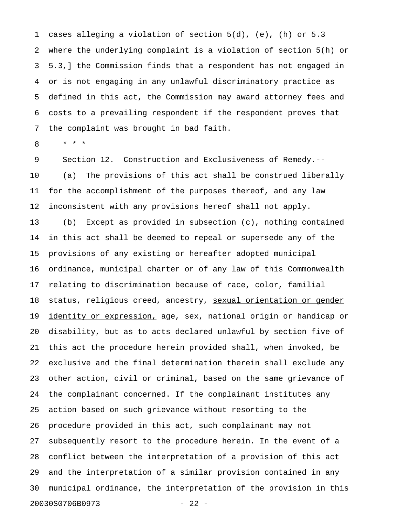1 cases alleging a violation of section 5(d), (e), (h) or 5.3 2 where the underlying complaint is a violation of section 5(h) or 3 5.3,] the Commission finds that a respondent has not engaged in 4 or is not engaging in any unlawful discriminatory practice as 5 defined in this act, the Commission may award attorney fees and 6 costs to a prevailing respondent if the respondent proves that 7 the complaint was brought in bad faith.

8 \* \* \*

9 Section 12. Construction and Exclusiveness of Remedy.-- 10 (a) The provisions of this act shall be construed liberally 11 for the accomplishment of the purposes thereof, and any law 12 inconsistent with any provisions hereof shall not apply.

13 (b) Except as provided in subsection (c), nothing contained 14 in this act shall be deemed to repeal or supersede any of the 15 provisions of any existing or hereafter adopted municipal 16 ordinance, municipal charter or of any law of this Commonwealth 17 relating to discrimination because of race, color, familial 18 status, religious creed, ancestry, sexual orientation or gender 19 identity or expression, age, sex, national origin or handicap or 20 disability, but as to acts declared unlawful by section five of 21 this act the procedure herein provided shall, when invoked, be 22 exclusive and the final determination therein shall exclude any 23 other action, civil or criminal, based on the same grievance of 24 the complainant concerned. If the complainant institutes any 25 action based on such grievance without resorting to the 26 procedure provided in this act, such complainant may not 27 subsequently resort to the procedure herein. In the event of a 28 conflict between the interpretation of a provision of this act 29 and the interpretation of a similar provision contained in any 30 municipal ordinance, the interpretation of the provision in this 20030S0706B0973 - 22 -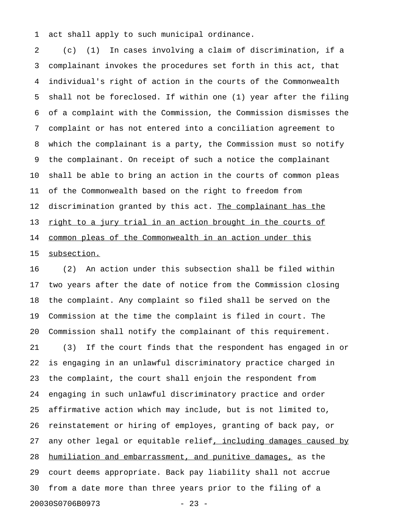1 act shall apply to such municipal ordinance.

2 (c) (1) In cases involving a claim of discrimination, if a 3 complainant invokes the procedures set forth in this act, that 4 individual's right of action in the courts of the Commonwealth 5 shall not be foreclosed. If within one (1) year after the filing 6 of a complaint with the Commission, the Commission dismisses the 7 complaint or has not entered into a conciliation agreement to 8 which the complainant is a party, the Commission must so notify 9 the complainant. On receipt of such a notice the complainant 10 shall be able to bring an action in the courts of common pleas 11 of the Commonwealth based on the right to freedom from 12 discrimination granted by this act. The complainant has the 13 <u>right to a jury trial in an action brought in the courts of</u> 14 common pleas of the Commonwealth in an action under this 15 subsection.

16 (2) An action under this subsection shall be filed within 17 two years after the date of notice from the Commission closing 18 the complaint. Any complaint so filed shall be served on the 19 Commission at the time the complaint is filed in court. The 20 Commission shall notify the complainant of this requirement. 21 (3) If the court finds that the respondent has engaged in or 22 is engaging in an unlawful discriminatory practice charged in 23 the complaint, the court shall enjoin the respondent from 24 engaging in such unlawful discriminatory practice and order 25 affirmative action which may include, but is not limited to, 26 reinstatement or hiring of employes, granting of back pay, or 27 any other legal or equitable relief, including damages caused by 28 humiliation and embarrassment, and punitive damages, as the 29 court deems appropriate. Back pay liability shall not accrue 30 from a date more than three years prior to the filing of a 20030S0706B0973 - 23 -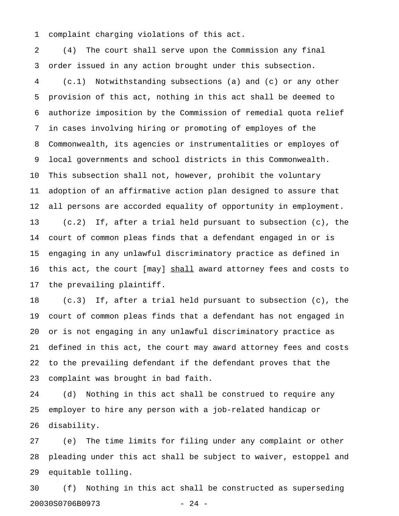1 complaint charging violations of this act.

2 (4) The court shall serve upon the Commission any final 3 order issued in any action brought under this subsection. 4 (c.1) Notwithstanding subsections (a) and (c) or any other 5 provision of this act, nothing in this act shall be deemed to 6 authorize imposition by the Commission of remedial quota relief 7 in cases involving hiring or promoting of employes of the 8 Commonwealth, its agencies or instrumentalities or employes of 9 local governments and school districts in this Commonwealth. 10 This subsection shall not, however, prohibit the voluntary 11 adoption of an affirmative action plan designed to assure that 12 all persons are accorded equality of opportunity in employment. 13 (c.2) If, after a trial held pursuant to subsection (c), the 14 court of common pleas finds that a defendant engaged in or is 15 engaging in any unlawful discriminatory practice as defined in 16 this act, the court [may] shall award attorney fees and costs to \_\_\_\_\_ 17 the prevailing plaintiff.

18 (c.3) If, after a trial held pursuant to subsection (c), the 19 court of common pleas finds that a defendant has not engaged in 20 or is not engaging in any unlawful discriminatory practice as 21 defined in this act, the court may award attorney fees and costs 22 to the prevailing defendant if the defendant proves that the 23 complaint was brought in bad faith.

24 (d) Nothing in this act shall be construed to require any 25 employer to hire any person with a job-related handicap or 26 disability.

27 (e) The time limits for filing under any complaint or other 28 pleading under this act shall be subject to waiver, estoppel and 29 equitable tolling.

30 (f) Nothing in this act shall be constructed as superseding 20030S0706B0973 - 24 -